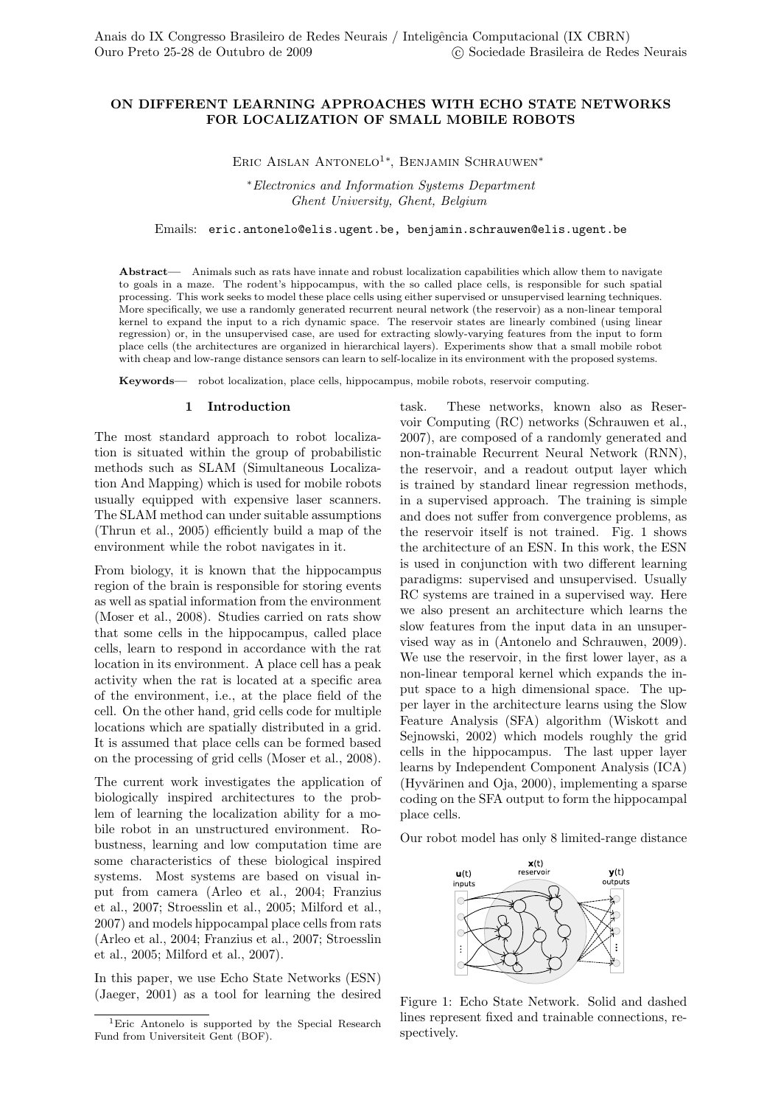# ON DIFFERENT LEARNING APPROACHES WITH ECHO STATE NETWORKS FOR LOCALIZATION OF SMALL MOBILE ROBOTS

ERIC AISLAN ANTONELO<sup>1\*</sup>, BENJAMIN SCHRAUWEN<sup>\*</sup>

<sup>∗</sup>Electronics and Information Systems Department Ghent University, Ghent, Belgium

### Emails: eric.antonelo@elis.ugent.be, benjamin.schrauwen@elis.ugent.be

Abstract— Animals such as rats have innate and robust localization capabilities which allow them to navigate to goals in a maze. The rodent's hippocampus, with the so called place cells, is responsible for such spatial processing. This work seeks to model these place cells using either supervised or unsupervised learning techniques. More specifically, we use a randomly generated recurrent neural network (the reservoir) as a non-linear temporal kernel to expand the input to a rich dynamic space. The reservoir states are linearly combined (using linear regression) or, in the unsupervised case, are used for extracting slowly-varying features from the input to form place cells (the architectures are organized in hierarchical layers). Experiments show that a small mobile robot with cheap and low-range distance sensors can learn to self-localize in its environment with the proposed systems.

Keywords— robot localization, place cells, hippocampus, mobile robots, reservoir computing.

#### 1 Introduction

The most standard approach to robot localization is situated within the group of probabilistic methods such as SLAM (Simultaneous Localization And Mapping) which is used for mobile robots usually equipped with expensive laser scanners. The SLAM method can under suitable assumptions (Thrun et al., 2005) efficiently build a map of the environment while the robot navigates in it.

From biology, it is known that the hippocampus region of the brain is responsible for storing events as well as spatial information from the environment (Moser et al., 2008). Studies carried on rats show that some cells in the hippocampus, called place cells, learn to respond in accordance with the rat location in its environment. A place cell has a peak activity when the rat is located at a specific area of the environment, i.e., at the place field of the cell. On the other hand, grid cells code for multiple locations which are spatially distributed in a grid. It is assumed that place cells can be formed based on the processing of grid cells (Moser et al., 2008).

The current work investigates the application of biologically inspired architectures to the problem of learning the localization ability for a mobile robot in an unstructured environment. Robustness, learning and low computation time are some characteristics of these biological inspired systems. Most systems are based on visual input from camera (Arleo et al., 2004; Franzius et al., 2007; Stroesslin et al., 2005; Milford et al., 2007) and models hippocampal place cells from rats (Arleo et al., 2004; Franzius et al., 2007; Stroesslin et al., 2005; Milford et al., 2007).

In this paper, we use Echo State Networks (ESN) (Jaeger, 2001) as a tool for learning the desired task. These networks, known also as Reservoir Computing (RC) networks (Schrauwen et al., 2007), are composed of a randomly generated and non-trainable Recurrent Neural Network (RNN), the reservoir, and a readout output layer which is trained by standard linear regression methods, in a supervised approach. The training is simple and does not suffer from convergence problems, as the reservoir itself is not trained. Fig. 1 shows the architecture of an ESN. In this work, the ESN is used in conjunction with two different learning paradigms: supervised and unsupervised. Usually RC systems are trained in a supervised way. Here we also present an architecture which learns the slow features from the input data in an unsupervised way as in (Antonelo and Schrauwen, 2009). We use the reservoir, in the first lower layer, as a non-linear temporal kernel which expands the input space to a high dimensional space. The upper layer in the architecture learns using the Slow Feature Analysis (SFA) algorithm (Wiskott and Sejnowski, 2002) which models roughly the grid cells in the hippocampus. The last upper layer learns by Independent Component Analysis (ICA)  $(Hyvärinen and Oja, 2000)$ , implementing a sparse coding on the SFA output to form the hippocampal place cells.

Our robot model has only 8 limited-range distance



Figure 1: Echo State Network. Solid and dashed lines represent fixed and trainable connections, respectively.

<sup>1</sup>Eric Antonelo is supported by the Special Research Fund from Universiteit Gent (BOF).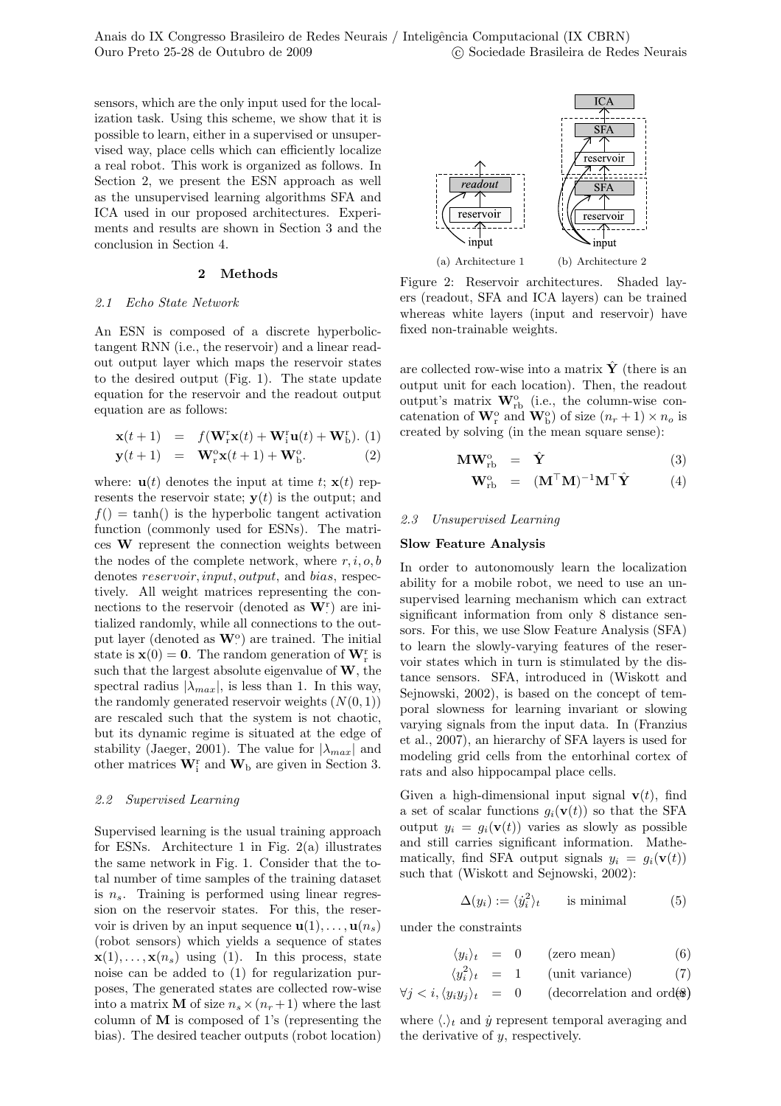sensors, which are the only input used for the localization task. Using this scheme, we show that it is possible to learn, either in a supervised or unsupervised way, place cells which can efficiently localize a real robot. This work is organized as follows. In Section 2, we present the ESN approach as well as the unsupervised learning algorithms SFA and ICA used in our proposed architectures. Experiments and results are shown in Section 3 and the conclusion in Section 4.

### 2 Methods

### 2.1 Echo State Network

An ESN is composed of a discrete hyperbolictangent RNN (i.e., the reservoir) and a linear readout output layer which maps the reservoir states to the desired output (Fig. 1). The state update equation for the reservoir and the readout output equation are as follows:

$$
\mathbf{x}(t+1) = f(\mathbf{W}_{r}^{r}\mathbf{x}(t) + \mathbf{W}_{i}^{r}\mathbf{u}(t) + \mathbf{W}_{b}^{r}). (1)
$$

$$
\mathbf{y}(t+1) = \mathbf{W}_{r}^{\circ}\mathbf{x}(t+1) + \mathbf{W}_{b}^{\circ}.
$$
 (2)

where:  $\mathbf{u}(t)$  denotes the input at time t;  $\mathbf{x}(t)$  represents the reservoir state;  $y(t)$  is the output; and  $f() = \tanh()$  is the hyperbolic tangent activation function (commonly used for ESNs). The matrices W represent the connection weights between the nodes of the complete network, where  $r, i, o, b$ denotes reservoir, input, output, and bias, respectively. All weight matrices representing the connections to the reservoir (denoted as  $\mathbf{W}_{\cdot}^{\mathrm{r}}$ ) are initialized randomly, while all connections to the output layer (denoted as  $\mathbf{W}^{\text{o}}$ ) are trained. The initial state is  $\mathbf{x}(0) = \mathbf{0}$ . The random generation of  $\mathbf{W}_{r}^{r}$  is such that the largest absolute eigenvalue of  $W$ , the spectral radius  $|\lambda_{max}|$ , is less than 1. In this way, the randomly generated reservoir weights  $(N(0, 1))$ are rescaled such that the system is not chaotic, but its dynamic regime is situated at the edge of stability (Jaeger, 2001). The value for  $|\lambda_{max}|$  and other matrices  $\mathbf{W}_{i}^{r}$  and  $\mathbf{W}_{b}$  are given in Section 3.

#### 2.2 Supervised Learning

Supervised learning is the usual training approach for ESNs. Architecture 1 in Fig.  $2(a)$  illustrates the same network in Fig. 1. Consider that the total number of time samples of the training dataset is  $n_s$ . Training is performed using linear regression on the reservoir states. For this, the reservoir is driven by an input sequence  $\mathbf{u}(1), \ldots, \mathbf{u}(n_s)$ (robot sensors) which yields a sequence of states  $\mathbf{x}(1), \ldots, \mathbf{x}(n_s)$  using (1). In this process, state noise can be added to (1) for regularization purposes, The generated states are collected row-wise into a matrix **M** of size  $n_s \times (n_r + 1)$  where the last column of M is composed of 1's (representing the bias). The desired teacher outputs (robot location)



Figure 2: Reservoir architectures. Shaded layers (readout, SFA and ICA layers) can be trained whereas white layers (input and reservoir) have fixed non-trainable weights.

are collected row-wise into a matrix  $\hat{\mathbf{Y}}$  (there is an output unit for each location). Then, the readout output's matrix  $\mathbf{W}_{\text{rb}}^{\text{o}}$  (i.e., the column-wise concatenation of  $\mathbf{W}_{r}^{\text{o}}$  and  $\mathbf{W}_{\text{b}}^{\text{o}}$ ) of size  $(n_r + 1) \times n_o$  is created by solving (in the mean square sense):

$$
\mathbf{MW}_{\mathrm{rb}}^{\mathrm{o}} = \hat{\mathbf{Y}} \tag{3}
$$

$$
\mathbf{W}_{\rm rb}^{\rm o} = (\mathbf{M}^\top \mathbf{M})^{-1} \mathbf{M}^\top \hat{\mathbf{Y}} \tag{4}
$$

### 2.3 Unsupervised Learning

### Slow Feature Analysis

In order to autonomously learn the localization ability for a mobile robot, we need to use an unsupervised learning mechanism which can extract significant information from only 8 distance sensors. For this, we use Slow Feature Analysis (SFA) to learn the slowly-varying features of the reservoir states which in turn is stimulated by the distance sensors. SFA, introduced in (Wiskott and Sejnowski, 2002), is based on the concept of temporal slowness for learning invariant or slowing varying signals from the input data. In (Franzius et al., 2007), an hierarchy of SFA layers is used for modeling grid cells from the entorhinal cortex of rats and also hippocampal place cells.

Given a high-dimensional input signal  $\mathbf{v}(t)$ , find a set of scalar functions  $g_i(\mathbf{v}(t))$  so that the SFA output  $y_i = g_i(\mathbf{v}(t))$  varies as slowly as possible and still carries significant information. Mathematically, find SFA output signals  $y_i = q_i(\mathbf{v}(t))$ such that (Wiskott and Sejnowski, 2002):

$$
\Delta(y_i) := \langle \dot{y}_i^2 \rangle_t \quad \text{is minimal} \quad (5)
$$

under the constraints

$$
\langle y_i \rangle_t = 0 \qquad \text{(zero mean)} \tag{6}
$$

$$
\langle y_i^2 \rangle_t = 1 \qquad \text{(unit variance)} \tag{7}
$$

$$
\forall j < i, \langle y_i y_j \rangle_t = 0 \qquad \text{(decorrelation and ord}(\mathbf{\hat{s}}))
$$

where  $\langle . \rangle_t$  and  $\dot{y}$  represent temporal averaging and the derivative of y, respectively.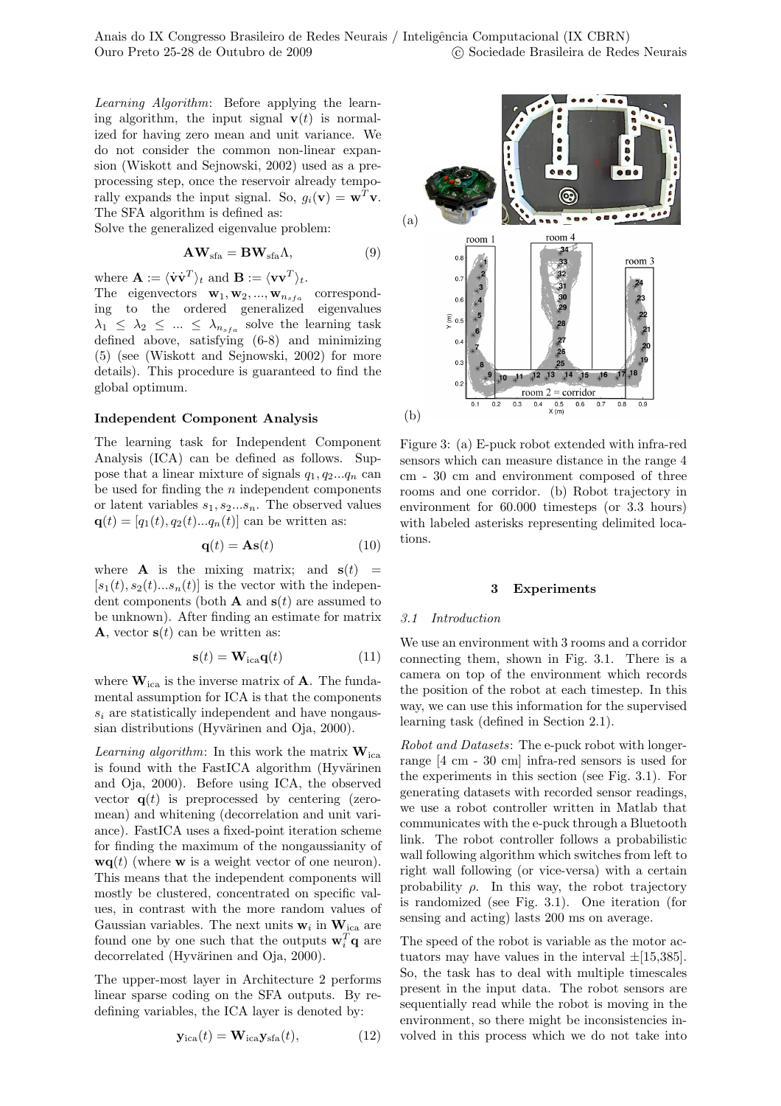Anais do IX Congresso Brasileiro de Redes Neurais / Inteligência Computacional (IX CBRN) Ouro Preto 25-28 de Outubro de 2009 c Sociedade Brasileira de Redes Neurais

Learning Algorithm: Before applying the learning algorithm, the input signal  $\mathbf{v}(t)$  is normalized for having zero mean and unit variance. We do not consider the common non-linear expansion (Wiskott and Sejnowski, 2002) used as a preprocessing step, once the reservoir already temporally expands the input signal. So,  $g_i(\mathbf{v}) = \mathbf{w}^T \mathbf{v}$ . The SFA algorithm is defined as:

Solve the generalized eigenvalue problem:

$$
AW_{sfa} = BW_{sfa}\Lambda, \qquad (9)
$$

where  $\mathbf{A} := \langle \dot{\mathbf{v}} \dot{\mathbf{v}}^T \rangle_t$  and  $\mathbf{B} := \langle \mathbf{v} \mathbf{v}^T \rangle_t$ .

The eigenvectors  $\mathbf{w}_1, \mathbf{w}_2, ..., \mathbf{w}_{n_{sfa}}$  corresponding to the ordered generalized eigenvalues  $\lambda_1 \leq \lambda_2 \leq ... \leq \lambda_{n_{sfa}}$  solve the learning task defined above, satisfying (6-8) and minimizing (5) (see (Wiskott and Sejnowski, 2002) for more details). This procedure is guaranteed to find the global optimum.

### Independent Component Analysis

The learning task for Independent Component Analysis (ICA) can be defined as follows. Suppose that a linear mixture of signals  $q_1, q_2...q_n$  can be used for finding the  $n$  independent components or latent variables  $s_1, s_2...s_n$ . The observed values  ${\bf q}(t) = [q_1(t), q_2(t)...q_n(t)]$  can be written as:

$$
\mathbf{q}(t) = \mathbf{As}(t) \tag{10}
$$

where **A** is the mixing matrix; and  $s(t)$  =  $[s_1(t), s_2(t)...s_n(t)]$  is the vector with the independent components (both **A** and  $s(t)$  are assumed to be unknown). After finding an estimate for matrix **A**, vector  $s(t)$  can be written as:

$$
\mathbf{s}(t) = \mathbf{W}_{\text{ica}} \mathbf{q}(t) \tag{11}
$$

where  $\mathbf{W}_{\text{ica}}$  is the inverse matrix of **A**. The fundamental assumption for ICA is that the components  $s_i$  are statistically independent and have nongaussian distributions (Hyvärinen and Oja,  $2000$ ).

*Learning algorithm*: In this work the matrix  $W_{ica}$ is found with the FastICA algorithm (Hyvärinen and Oja, 2000). Before using ICA, the observed vector  $q(t)$  is preprocessed by centering (zeromean) and whitening (decorrelation and unit variance). FastICA uses a fixed-point iteration scheme for finding the maximum of the nongaussianity of  $\mathbf{wq}(t)$  (where **w** is a weight vector of one neuron). This means that the independent components will mostly be clustered, concentrated on specific values, in contrast with the more random values of Gaussian variables. The next units  $w_i$  in  $W_{ica}$  are found one by one such that the outputs  $\mathbf{w}_i^T \mathbf{q}$  are decorrelated (Hyvärinen and Oja, 2000).

The upper-most layer in Architecture 2 performs linear sparse coding on the SFA outputs. By redefining variables, the ICA layer is denoted by:

$$
\mathbf{y}_{\text{ica}}(t) = \mathbf{W}_{\text{ica}} \mathbf{y}_{\text{sfa}}(t), \tag{12}
$$



Figure 3: (a) E-puck robot extended with infra-red sensors which can measure distance in the range 4 cm - 30 cm and environment composed of three rooms and one corridor. (b) Robot trajectory in environment for 60.000 timesteps (or 3.3 hours) with labeled asterisks representing delimited locations.

#### 3 Experiments

#### 3.1 Introduction

We use an environment with 3 rooms and a corridor connecting them, shown in Fig. 3.1. There is a camera on top of the environment which records the position of the robot at each timestep. In this way, we can use this information for the supervised learning task (defined in Section 2.1).

Robot and Datasets: The e-puck robot with longerrange [4 cm - 30 cm] infra-red sensors is used for the experiments in this section (see Fig. 3.1). For generating datasets with recorded sensor readings, we use a robot controller written in Matlab that communicates with the e-puck through a Bluetooth link. The robot controller follows a probabilistic wall following algorithm which switches from left to right wall following (or vice-versa) with a certain probability  $\rho$ . In this way, the robot trajectory is randomized (see Fig. 3.1). One iteration (for sensing and acting) lasts 200 ms on average.

The speed of the robot is variable as the motor actuators may have values in the interval  $\pm$ [15,385]. So, the task has to deal with multiple timescales present in the input data. The robot sensors are sequentially read while the robot is moving in the environment, so there might be inconsistencies involved in this process which we do not take into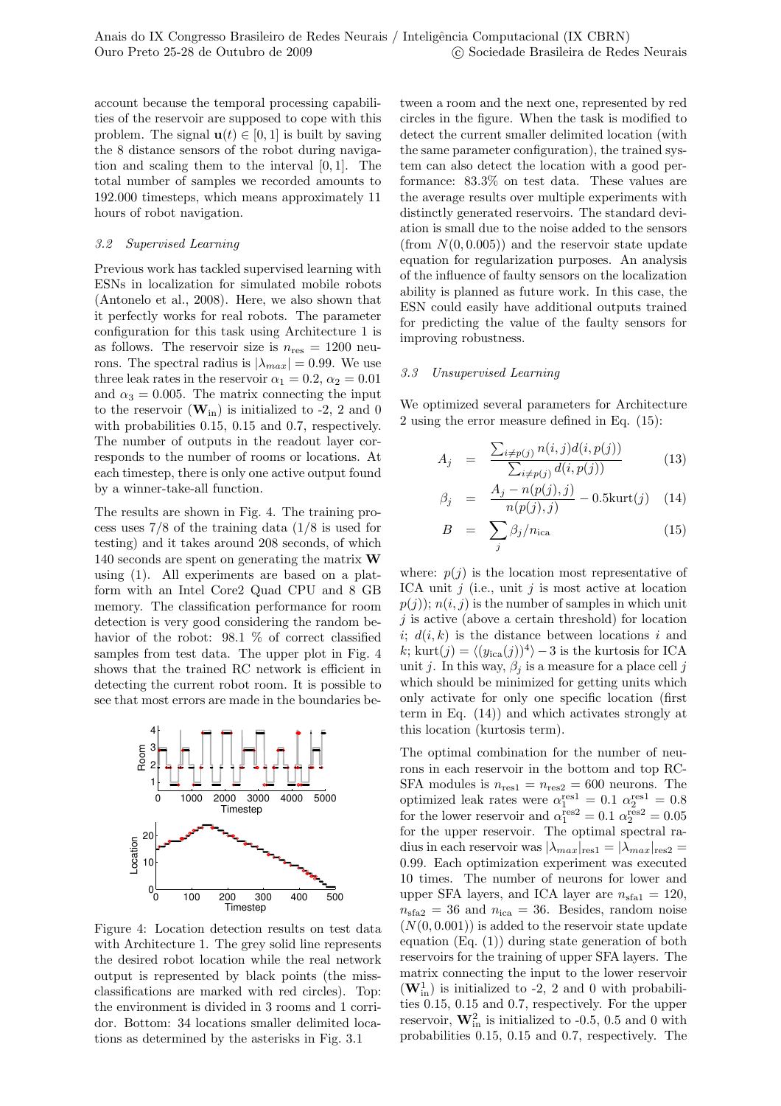account because the temporal processing capabilities of the reservoir are supposed to cope with this problem. The signal  $\mathbf{u}(t) \in [0,1]$  is built by saving the 8 distance sensors of the robot during navigation and scaling them to the interval [0, 1]. The total number of samples we recorded amounts to 192.000 timesteps, which means approximately 11 hours of robot navigation.

# 3.2 Supervised Learning

Previous work has tackled supervised learning with ESNs in localization for simulated mobile robots (Antonelo et al., 2008). Here, we also shown that it perfectly works for real robots. The parameter configuration for this task using Architecture 1 is as follows. The reservoir size is  $n_{\text{res}} = 1200$  neurons. The spectral radius is  $|\lambda_{max}| = 0.99$ . We use three leak rates in the reservoir  $\alpha_1 = 0.2$ ,  $\alpha_2 = 0.01$ and  $\alpha_3 = 0.005$ . The matrix connecting the input to the reservoir  $(\mathbf{W}_{in})$  is initialized to -2, 2 and 0 with probabilities 0.15, 0.15 and 0.7, respectively. The number of outputs in the readout layer corresponds to the number of rooms or locations. At each timestep, there is only one active output found by a winner-take-all function.

The results are shown in Fig. 4. The training process uses 7/8 of the training data (1/8 is used for testing) and it takes around 208 seconds, of which 140 seconds are spent on generating the matrix W using (1). All experiments are based on a platform with an Intel Core2 Quad CPU and 8 GB memory. The classification performance for room detection is very good considering the random behavior of the robot: 98.1 % of correct classified samples from test data. The upper plot in Fig. 4 shows that the trained RC network is efficient in detecting the current robot room. It is possible to see that most errors are made in the boundaries be-



Figure 4: Location detection results on test data with Architecture 1. The grey solid line represents the desired robot location while the real network output is represented by black points (the missclassifications are marked with red circles). Top: the environment is divided in 3 rooms and 1 corridor. Bottom: 34 locations smaller delimited locations as determined by the asterisks in Fig. 3.1

tween a room and the next one, represented by red circles in the figure. When the task is modified to detect the current smaller delimited location (with the same parameter configuration), the trained system can also detect the location with a good performance: 83.3% on test data. These values are the average results over multiple experiments with distinctly generated reservoirs. The standard deviation is small due to the noise added to the sensors (from  $N(0, 0.005)$ ) and the reservoir state update equation for regularization purposes. An analysis of the influence of faulty sensors on the localization ability is planned as future work. In this case, the ESN could easily have additional outputs trained for predicting the value of the faulty sensors for improving robustness.

## 3.3 Unsupervised Learning

We optimized several parameters for Architecture 2 using the error measure defined in Eq. (15):

$$
A_j = \frac{\sum_{i \neq p(j)} n(i,j) d(i,p(j))}{\sum_{i \neq p(j)} d(i,p(j))}
$$
(13)

$$
\beta_j = \frac{A_j - n(p(j), j)}{n(p(j), j)} - 0.5 \text{kurt}(j) \quad (14)
$$

$$
B = \sum_{j} \beta_j / n_{\text{ica}} \tag{15}
$$

where:  $p(i)$  is the location most representative of ICA unit  $j$  (i.e., unit  $j$  is most active at location  $p(j)$ ;  $n(i, j)$  is the number of samples in which unit  $i$  is active (above a certain threshold) for location i;  $d(i, k)$  is the distance between locations i and k; kurt $(j) = \langle (y_{\text{ica}}(j))^4 \rangle - 3$  is the kurtosis for ICA unit j. In this way,  $\beta_j$  is a measure for a place cell j which should be minimized for getting units which only activate for only one specific location (first term in Eq. (14)) and which activates strongly at this location (kurtosis term).

The optimal combination for the number of neurons in each reservoir in the bottom and top RC-SFA modules is  $n_{res1} = n_{res2} = 600$  neurons. The optimized leak rates were  $\alpha_1^{\text{res1}} = 0.1 \ \alpha_2^{\text{res1}} = 0.8$ for the lower reservoir and  $\alpha_1^{\text{res2}} = 0.1 \alpha_2^{\text{res2}} = 0.05$ for the upper reservoir. The optimal spectral radius in each reservoir was  $|\lambda_{max}|_{\text{res}1} = |\lambda_{max}|_{\text{res}2} =$ 0.99. Each optimization experiment was executed 10 times. The number of neurons for lower and upper SFA layers, and ICA layer are  $n_{\text{sta1}} = 120$ ,  $n_{\text{sta2}} = 36$  and  $n_{\text{ica}} = 36$ . Besides, random noise  $(N(0, 0.001))$  is added to the reservoir state update equation (Eq. (1)) during state generation of both reservoirs for the training of upper SFA layers. The matrix connecting the input to the lower reservoir  $(\mathbf{W}_{\text{in}}^1)$  is initialized to -2, 2 and 0 with probabilities 0.15, 0.15 and 0.7, respectively. For the upper reservoir,  $\mathbf{W}_{\text{in}}^2$  is initialized to -0.5, 0.5 and 0 with probabilities 0.15, 0.15 and 0.7, respectively. The